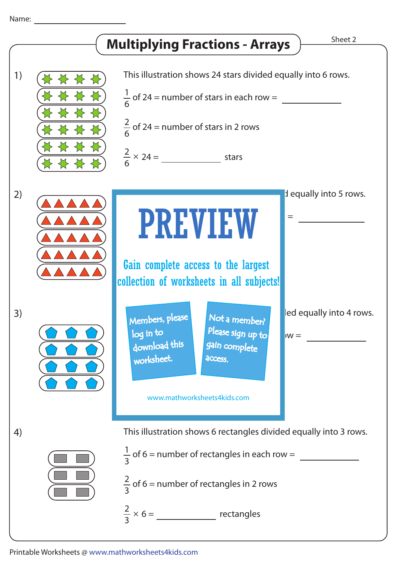## Name: